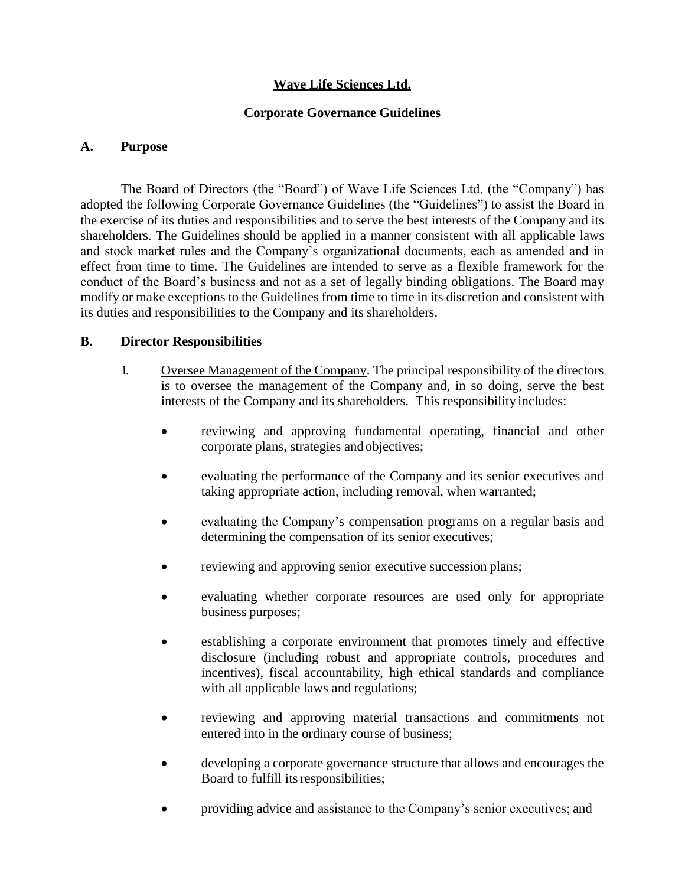# **Wave Life Sciences Ltd.**

### **Corporate Governance Guidelines**

#### **A. Purpose**

The Board of Directors (the "Board") of Wave Life Sciences Ltd. (the "Company") has adopted the following Corporate Governance Guidelines (the "Guidelines") to assist the Board in the exercise of its duties and responsibilities and to serve the best interests of the Company and its shareholders. The Guidelines should be applied in a manner consistent with all applicable laws and stock market rules and the Company's organizational documents, each as amended and in effect from time to time. The Guidelines are intended to serve as a flexible framework for the conduct of the Board's business and not as a set of legally binding obligations. The Board may modify or make exceptions to the Guidelines from time to time in its discretion and consistent with its duties and responsibilities to the Company and its shareholders.

#### **B. Director Responsibilities**

- 1. Oversee Management of the Company. The principal responsibility of the directors is to oversee the management of the Company and, in so doing, serve the best interests of the Company and its shareholders. This responsibility includes:
	- reviewing and approving fundamental operating, financial and other corporate plans, strategies and objectives;
	- evaluating the performance of the Company and its senior executives and taking appropriate action, including removal, when warranted;
	- evaluating the Company's compensation programs on a regular basis and determining the compensation of its senior executives;
	- reviewing and approving senior executive succession plans;
	- evaluating whether corporate resources are used only for appropriate business purposes;
	- establishing a corporate environment that promotes timely and effective disclosure (including robust and appropriate controls, procedures and incentives), fiscal accountability, high ethical standards and compliance with all applicable laws and regulations;
	- reviewing and approving material transactions and commitments not entered into in the ordinary course of business;
	- developing a corporate governance structure that allows and encourages the Board to fulfill its responsibilities;
	- providing advice and assistance to the Company's senior executives; and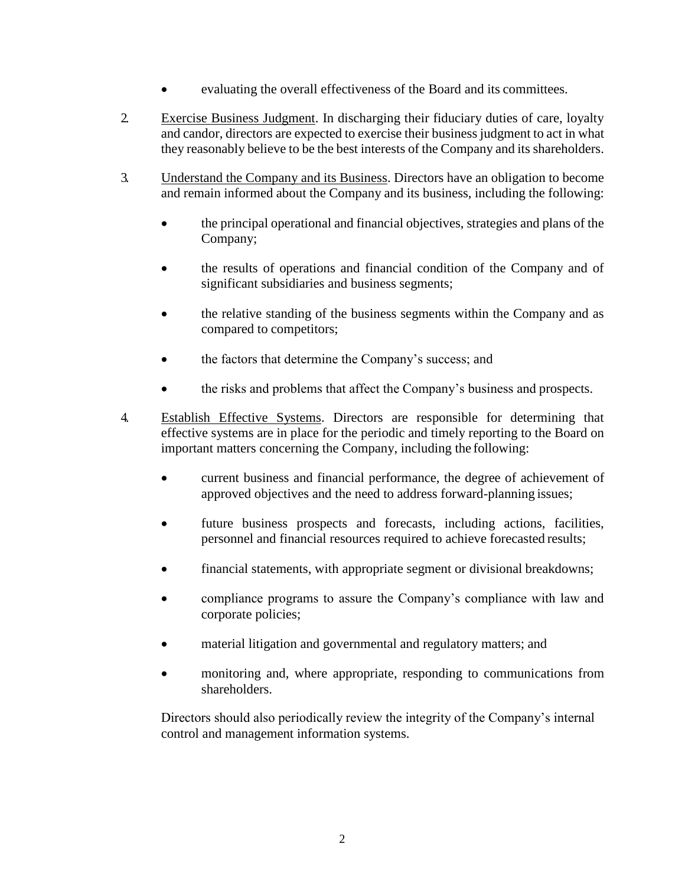- evaluating the overall effectiveness of the Board and its committees.
- 2. Exercise Business Judgment. In discharging their fiduciary duties of care, loyalty and candor, directors are expected to exercise their business judgment to act in what they reasonably believe to be the best interests of the Company and its shareholders.
- 3. Understand the Company and its Business. Directors have an obligation to become and remain informed about the Company and its business, including the following:
	- the principal operational and financial objectives, strategies and plans of the Company;
	- the results of operations and financial condition of the Company and of significant subsidiaries and business segments;
	- the relative standing of the business segments within the Company and as compared to competitors;
	- the factors that determine the Company's success; and
	- the risks and problems that affect the Company's business and prospects.
- 4. Establish Effective Systems. Directors are responsible for determining that effective systems are in place for the periodic and timely reporting to the Board on important matters concerning the Company, including the following:
	- current business and financial performance, the degree of achievement of approved objectives and the need to address forward-planning issues;
	- future business prospects and forecasts, including actions, facilities, personnel and financial resources required to achieve forecasted results;
	- financial statements, with appropriate segment or divisional breakdowns;
	- compliance programs to assure the Company's compliance with law and corporate policies;
	- material litigation and governmental and regulatory matters; and
	- monitoring and, where appropriate, responding to communications from shareholders.

Directors should also periodically review the integrity of the Company's internal control and management information systems.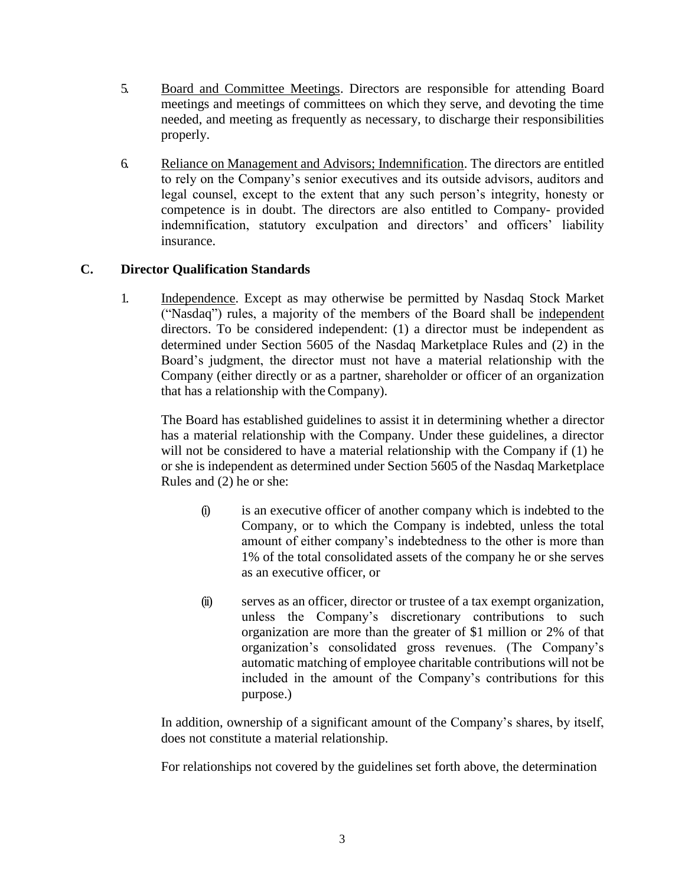- 5. Board and Committee Meetings. Directors are responsible for attending Board meetings and meetings of committees on which they serve, and devoting the time needed, and meeting as frequently as necessary, to discharge their responsibilities properly.
- 6. Reliance on Management and Advisors; Indemnification. The directors are entitled to rely on the Company's senior executives and its outside advisors, auditors and legal counsel, except to the extent that any such person's integrity, honesty or competence is in doubt. The directors are also entitled to Company- provided indemnification, statutory exculpation and directors' and officers' liability insurance.

# **C. Director Qualification Standards**

1. Independence. Except as may otherwise be permitted by Nasdaq Stock Market ("Nasdaq") rules, a majority of the members of the Board shall be independent directors. To be considered independent: (1) a director must be independent as determined under Section 5605 of the Nasdaq Marketplace Rules and (2) in the Board's judgment, the director must not have a material relationship with the Company (either directly or as a partner, shareholder or officer of an organization that has a relationship with theCompany).

The Board has established guidelines to assist it in determining whether a director has a material relationship with the Company. Under these guidelines, a director will not be considered to have a material relationship with the Company if (1) he or she is independent as determined under Section 5605 of the Nasdaq Marketplace Rules and (2) he or she:

- (i) is an executive officer of another company which is indebted to the Company, or to which the Company is indebted, unless the total amount of either company's indebtedness to the other is more than 1% of the total consolidated assets of the company he or she serves as an executive officer, or
- (ii) serves as an officer, director or trustee of a tax exempt organization, unless the Company's discretionary contributions to such organization are more than the greater of \$1 million or 2% of that organization's consolidated gross revenues. (The Company's automatic matching of employee charitable contributions will not be included in the amount of the Company's contributions for this purpose.)

In addition, ownership of a significant amount of the Company's shares, by itself, does not constitute a material relationship.

For relationships not covered by the guidelines set forth above, the determination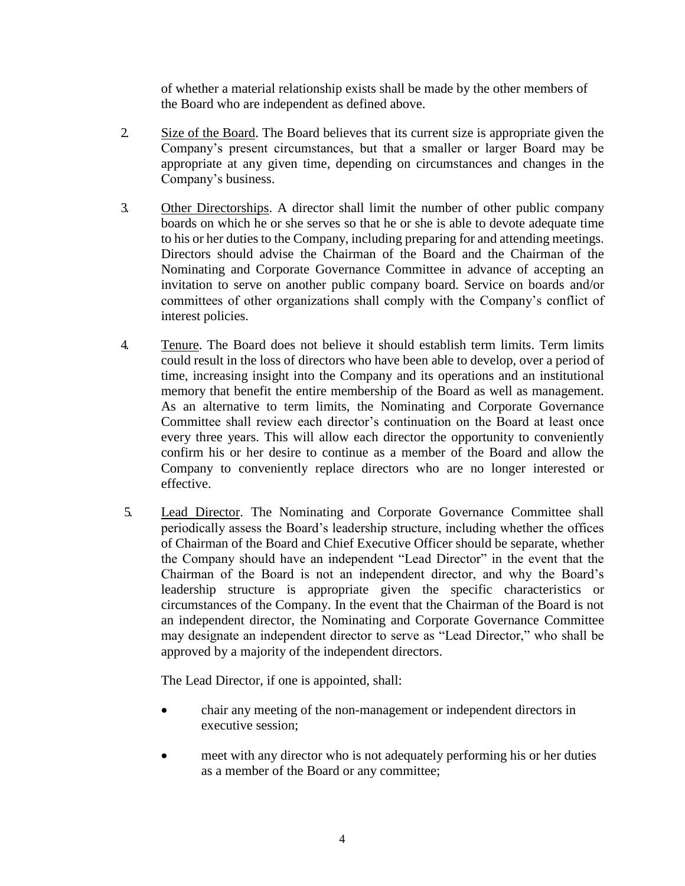of whether a material relationship exists shall be made by the other members of the Board who are independent as defined above.

- 2. Size of the Board. The Board believes that its current size is appropriate given the Company's present circumstances, but that a smaller or larger Board may be appropriate at any given time, depending on circumstances and changes in the Company's business.
- 3. Other Directorships. A director shall limit the number of other public company boards on which he or she serves so that he or she is able to devote adequate time to his or her duties to the Company, including preparing for and attending meetings. Directors should advise the Chairman of the Board and the Chairman of the Nominating and Corporate Governance Committee in advance of accepting an invitation to serve on another public company board. Service on boards and/or committees of other organizations shall comply with the Company's conflict of interest policies.
- 4. Tenure. The Board does not believe it should establish term limits. Term limits could result in the loss of directors who have been able to develop, over a period of time, increasing insight into the Company and its operations and an institutional memory that benefit the entire membership of the Board as well as management. As an alternative to term limits, the Nominating and Corporate Governance Committee shall review each director's continuation on the Board at least once every three years. This will allow each director the opportunity to conveniently confirm his or her desire to continue as a member of the Board and allow the Company to conveniently replace directors who are no longer interested or effective.
- 5. Lead Director. The Nominating and Corporate Governance Committee shall periodically assess the Board's leadership structure, including whether the offices of Chairman of the Board and Chief Executive Officer should be separate, whether the Company should have an independent "Lead Director" in the event that the Chairman of the Board is not an independent director, and why the Board's leadership structure is appropriate given the specific characteristics or circumstances of the Company. In the event that the Chairman of the Board is not an independent director, the Nominating and Corporate Governance Committee may designate an independent director to serve as "Lead Director," who shall be approved by a majority of the independent directors.

The Lead Director, if one is appointed, shall:

- chair any meeting of the non-management or independent directors in executive session;
- meet with any director who is not adequately performing his or her duties as a member of the Board or any committee;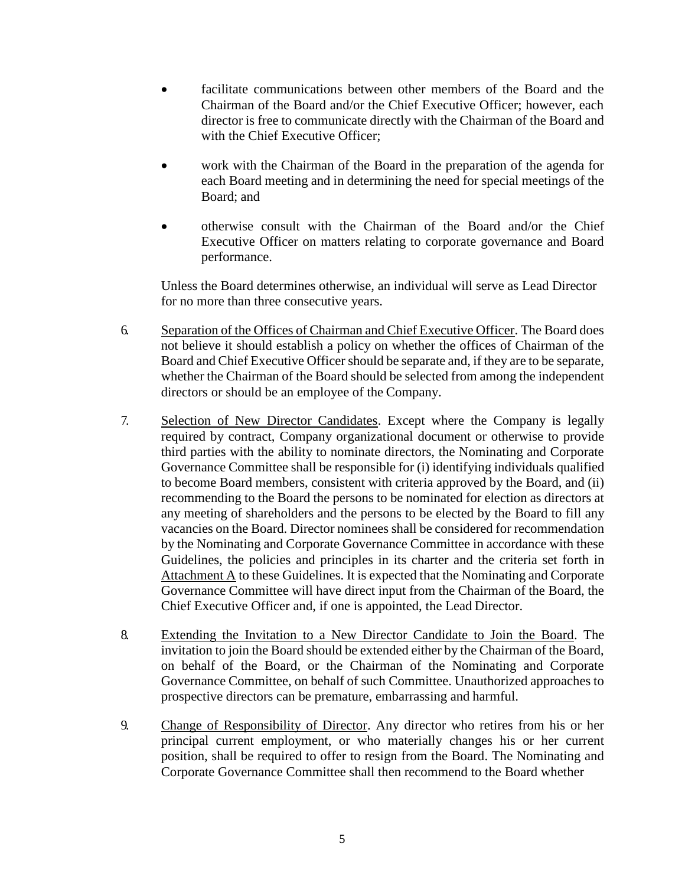- facilitate communications between other members of the Board and the Chairman of the Board and/or the Chief Executive Officer; however, each director is free to communicate directly with the Chairman of the Board and with the Chief Executive Officer;
- work with the Chairman of the Board in the preparation of the agenda for each Board meeting and in determining the need for special meetings of the Board; and
- otherwise consult with the Chairman of the Board and/or the Chief Executive Officer on matters relating to corporate governance and Board performance.

Unless the Board determines otherwise, an individual will serve as Lead Director for no more than three consecutive years.

- 6. Separation of the Offices of Chairman and Chief Executive Officer. The Board does not believe it should establish a policy on whether the offices of Chairman of the Board and Chief Executive Officer should be separate and, if they are to be separate, whether the Chairman of the Board should be selected from among the independent directors or should be an employee of the Company.
- 7. Selection of New Director Candidates. Except where the Company is legally required by contract, Company organizational document or otherwise to provide third parties with the ability to nominate directors, the Nominating and Corporate Governance Committee shall be responsible for (i) identifying individuals qualified to become Board members, consistent with criteria approved by the Board, and (ii) recommending to the Board the persons to be nominated for election as directors at any meeting of shareholders and the persons to be elected by the Board to fill any vacancies on the Board. Director nominees shall be considered for recommendation by the Nominating and Corporate Governance Committee in accordance with these Guidelines, the policies and principles in its charter and the criteria set forth in Attachment A to these Guidelines. It is expected that the Nominating and Corporate Governance Committee will have direct input from the Chairman of the Board, the Chief Executive Officer and, if one is appointed, the Lead Director.
- 8. Extending the Invitation to a New Director Candidate to Join the Board. The invitation to join the Board should be extended either by the Chairman of the Board, on behalf of the Board, or the Chairman of the Nominating and Corporate Governance Committee, on behalf of such Committee. Unauthorized approaches to prospective directors can be premature, embarrassing and harmful.
- 9. Change of Responsibility of Director. Any director who retires from his or her principal current employment, or who materially changes his or her current position, shall be required to offer to resign from the Board. The Nominating and Corporate Governance Committee shall then recommend to the Board whether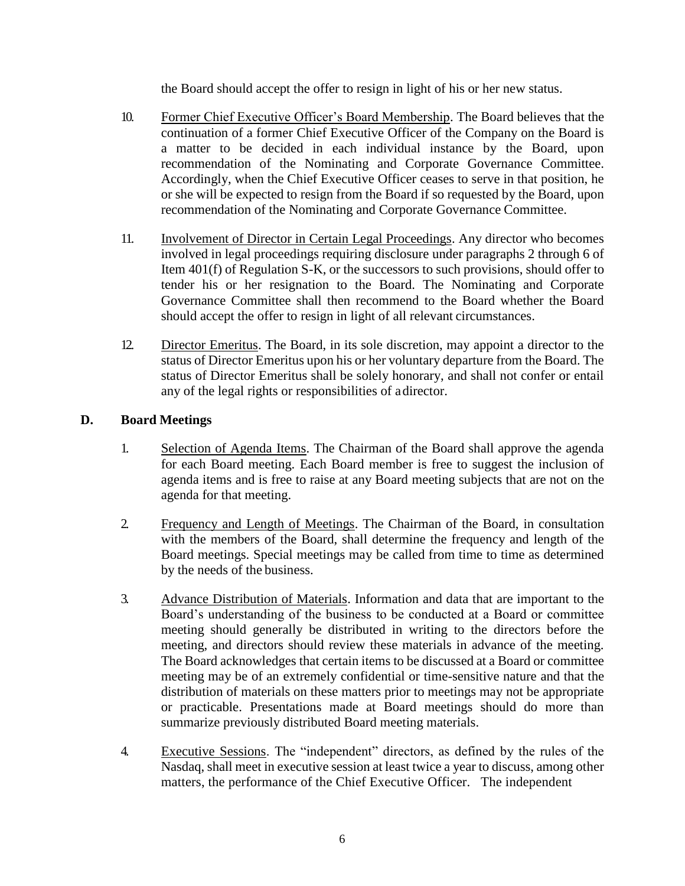the Board should accept the offer to resign in light of his or her new status.

- 10. Former Chief Executive Officer's Board Membership. The Board believes that the continuation of a former Chief Executive Officer of the Company on the Board is a matter to be decided in each individual instance by the Board, upon recommendation of the Nominating and Corporate Governance Committee. Accordingly, when the Chief Executive Officer ceases to serve in that position, he or she will be expected to resign from the Board if so requested by the Board, upon recommendation of the Nominating and Corporate Governance Committee.
- 11. Involvement of Director in Certain Legal Proceedings. Any director who becomes involved in legal proceedings requiring disclosure under paragraphs 2 through 6 of Item 401(f) of Regulation S-K, or the successors to such provisions, should offer to tender his or her resignation to the Board. The Nominating and Corporate Governance Committee shall then recommend to the Board whether the Board should accept the offer to resign in light of all relevant circumstances.
- 12. Director Emeritus. The Board, in its sole discretion, may appoint a director to the status of Director Emeritus upon his or her voluntary departure from the Board. The status of Director Emeritus shall be solely honorary, and shall not confer or entail any of the legal rights or responsibilities of adirector.

### **D. Board Meetings**

- 1. Selection of Agenda Items. The Chairman of the Board shall approve the agenda for each Board meeting. Each Board member is free to suggest the inclusion of agenda items and is free to raise at any Board meeting subjects that are not on the agenda for that meeting.
- 2. Frequency and Length of Meetings. The Chairman of the Board, in consultation with the members of the Board, shall determine the frequency and length of the Board meetings. Special meetings may be called from time to time as determined by the needs of the business.
- 3. Advance Distribution of Materials. Information and data that are important to the Board's understanding of the business to be conducted at a Board or committee meeting should generally be distributed in writing to the directors before the meeting, and directors should review these materials in advance of the meeting. The Board acknowledges that certain items to be discussed at a Board or committee meeting may be of an extremely confidential or time-sensitive nature and that the distribution of materials on these matters prior to meetings may not be appropriate or practicable. Presentations made at Board meetings should do more than summarize previously distributed Board meeting materials.
- 4. Executive Sessions. The "independent" directors, as defined by the rules of the Nasdaq, shall meet in executive session at least twice a year to discuss, among other matters, the performance of the Chief Executive Officer. The independent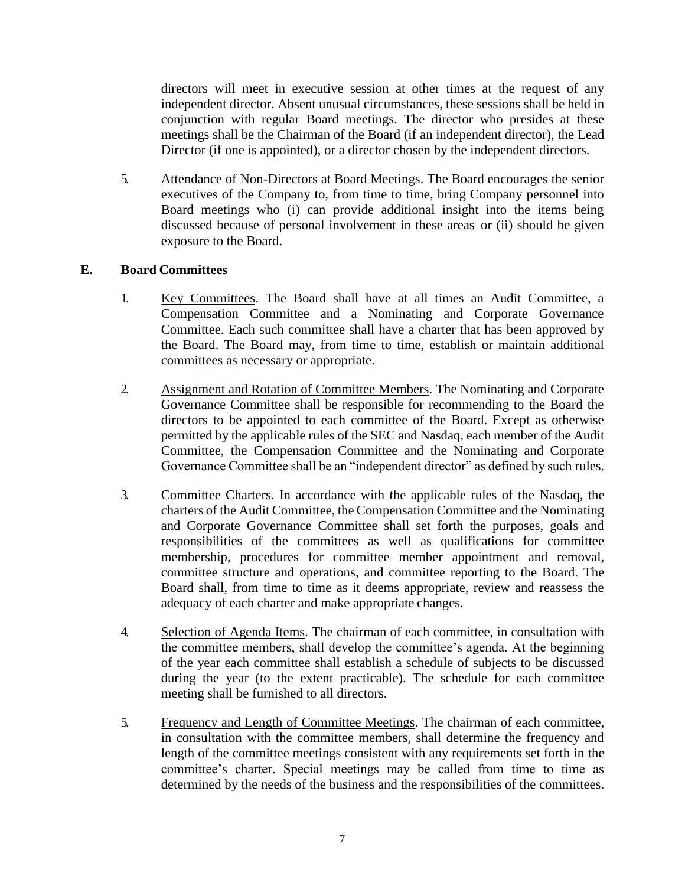directors will meet in executive session at other times at the request of any independent director. Absent unusual circumstances, these sessions shall be held in conjunction with regular Board meetings. The director who presides at these meetings shall be the Chairman of the Board (if an independent director), the Lead Director (if one is appointed), or a director chosen by the independent directors.

5. Attendance of Non-Directors at Board Meetings. The Board encourages the senior executives of the Company to, from time to time, bring Company personnel into Board meetings who (i) can provide additional insight into the items being discussed because of personal involvement in these areas or (ii) should be given exposure to the Board.

### **E. Board Committees**

- 1. Key Committees. The Board shall have at all times an Audit Committee, a Compensation Committee and a Nominating and Corporate Governance Committee. Each such committee shall have a charter that has been approved by the Board. The Board may, from time to time, establish or maintain additional committees as necessary or appropriate.
- 2. Assignment and Rotation of Committee Members. The Nominating and Corporate Governance Committee shall be responsible for recommending to the Board the directors to be appointed to each committee of the Board. Except as otherwise permitted by the applicable rules of the SEC and Nasdaq, each member of the Audit Committee, the Compensation Committee and the Nominating and Corporate Governance Committee shall be an "independent director" as defined by such rules.
- 3. Committee Charters. In accordance with the applicable rules of the Nasdaq, the charters of the Audit Committee, the Compensation Committee and the Nominating and Corporate Governance Committee shall set forth the purposes, goals and responsibilities of the committees as well as qualifications for committee membership, procedures for committee member appointment and removal, committee structure and operations, and committee reporting to the Board. The Board shall, from time to time as it deems appropriate, review and reassess the adequacy of each charter and make appropriate changes.
- 4. Selection of Agenda Items. The chairman of each committee, in consultation with the committee members, shall develop the committee's agenda. At the beginning of the year each committee shall establish a schedule of subjects to be discussed during the year (to the extent practicable). The schedule for each committee meeting shall be furnished to all directors.
- 5. Frequency and Length of Committee Meetings. The chairman of each committee, in consultation with the committee members, shall determine the frequency and length of the committee meetings consistent with any requirements set forth in the committee's charter. Special meetings may be called from time to time as determined by the needs of the business and the responsibilities of the committees.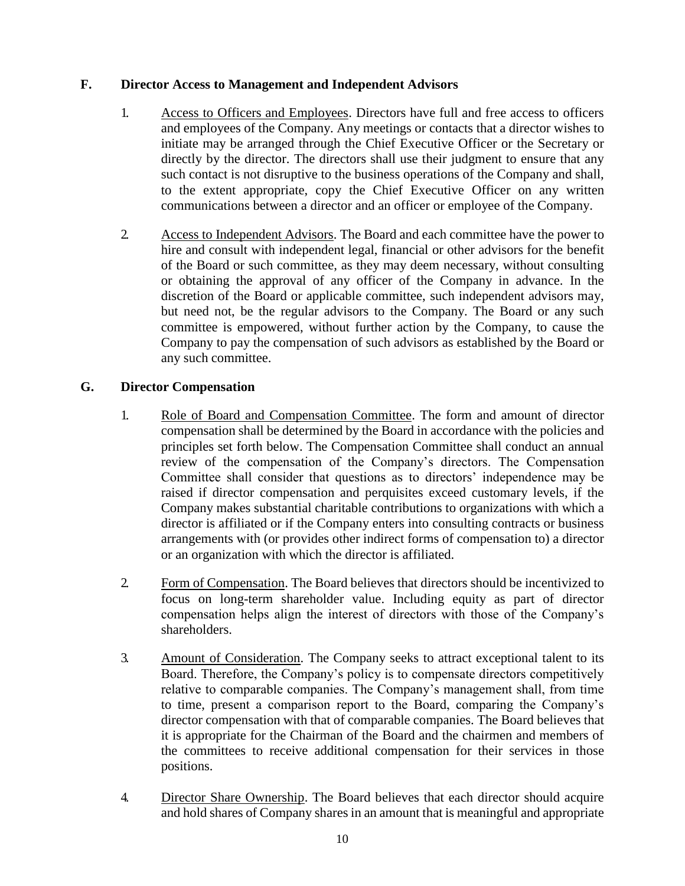### **F. Director Access to Management and Independent Advisors**

- 1. Access to Officers and Employees. Directors have full and free access to officers and employees of the Company. Any meetings or contacts that a director wishes to initiate may be arranged through the Chief Executive Officer or the Secretary or directly by the director. The directors shall use their judgment to ensure that any such contact is not disruptive to the business operations of the Company and shall, to the extent appropriate, copy the Chief Executive Officer on any written communications between a director and an officer or employee of the Company.
- 2. Access to Independent Advisors. The Board and each committee have the power to hire and consult with independent legal, financial or other advisors for the benefit of the Board or such committee, as they may deem necessary, without consulting or obtaining the approval of any officer of the Company in advance. In the discretion of the Board or applicable committee, such independent advisors may, but need not, be the regular advisors to the Company. The Board or any such committee is empowered, without further action by the Company, to cause the Company to pay the compensation of such advisors as established by the Board or any such committee.

### **G. Director Compensation**

- 1. Role of Board and Compensation Committee. The form and amount of director compensation shall be determined by the Board in accordance with the policies and principles set forth below. The Compensation Committee shall conduct an annual review of the compensation of the Company's directors. The Compensation Committee shall consider that questions as to directors' independence may be raised if director compensation and perquisites exceed customary levels, if the Company makes substantial charitable contributions to organizations with which a director is affiliated or if the Company enters into consulting contracts or business arrangements with (or provides other indirect forms of compensation to) a director or an organization with which the director is affiliated.
- 2. Form of Compensation. The Board believes that directors should be incentivized to focus on long-term shareholder value. Including equity as part of director compensation helps align the interest of directors with those of the Company's shareholders.
- 3. Amount of Consideration. The Company seeks to attract exceptional talent to its Board. Therefore, the Company's policy is to compensate directors competitively relative to comparable companies. The Company's management shall, from time to time, present a comparison report to the Board, comparing the Company's director compensation with that of comparable companies. The Board believes that it is appropriate for the Chairman of the Board and the chairmen and members of the committees to receive additional compensation for their services in those positions.
- 4. Director Share Ownership. The Board believes that each director should acquire and hold shares of Company shares in an amount that is meaningful and appropriate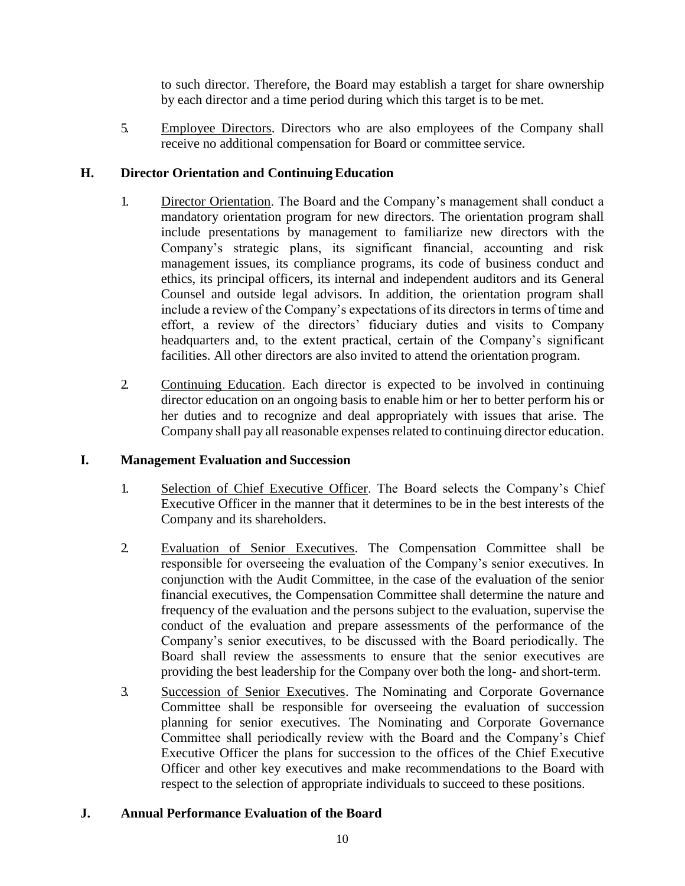to such director. Therefore, the Board may establish a target for share ownership by each director and a time period during which this target is to be met.

5. Employee Directors. Directors who are also employees of the Company shall receive no additional compensation for Board or committee service.

# **H. Director Orientation and ContinuingEducation**

- 1. Director Orientation. The Board and the Company's management shall conduct a mandatory orientation program for new directors. The orientation program shall include presentations by management to familiarize new directors with the Company's strategic plans, its significant financial, accounting and risk management issues, its compliance programs, its code of business conduct and ethics, its principal officers, its internal and independent auditors and its General Counsel and outside legal advisors. In addition, the orientation program shall include a review of the Company's expectations of its directors in terms of time and effort, a review of the directors' fiduciary duties and visits to Company headquarters and, to the extent practical, certain of the Company's significant facilities. All other directors are also invited to attend the orientation program.
- 2. Continuing Education. Each director is expected to be involved in continuing director education on an ongoing basis to enable him or her to better perform his or her duties and to recognize and deal appropriately with issues that arise. The Company shall pay all reasonable expenses related to continuing director education.

### **I. Management Evaluation and Succession**

- 1. Selection of Chief Executive Officer. The Board selects the Company's Chief Executive Officer in the manner that it determines to be in the best interests of the Company and its shareholders.
- 2. Evaluation of Senior Executives. The Compensation Committee shall be responsible for overseeing the evaluation of the Company's senior executives. In conjunction with the Audit Committee, in the case of the evaluation of the senior financial executives, the Compensation Committee shall determine the nature and frequency of the evaluation and the persons subject to the evaluation, supervise the conduct of the evaluation and prepare assessments of the performance of the Company's senior executives, to be discussed with the Board periodically. The Board shall review the assessments to ensure that the senior executives are providing the best leadership for the Company over both the long- and short-term.
- 3. Succession of Senior Executives. The Nominating and Corporate Governance Committee shall be responsible for overseeing the evaluation of succession planning for senior executives. The Nominating and Corporate Governance Committee shall periodically review with the Board and the Company's Chief Executive Officer the plans for succession to the offices of the Chief Executive Officer and other key executives and make recommendations to the Board with respect to the selection of appropriate individuals to succeed to these positions.

# **J. Annual Performance Evaluation of the Board**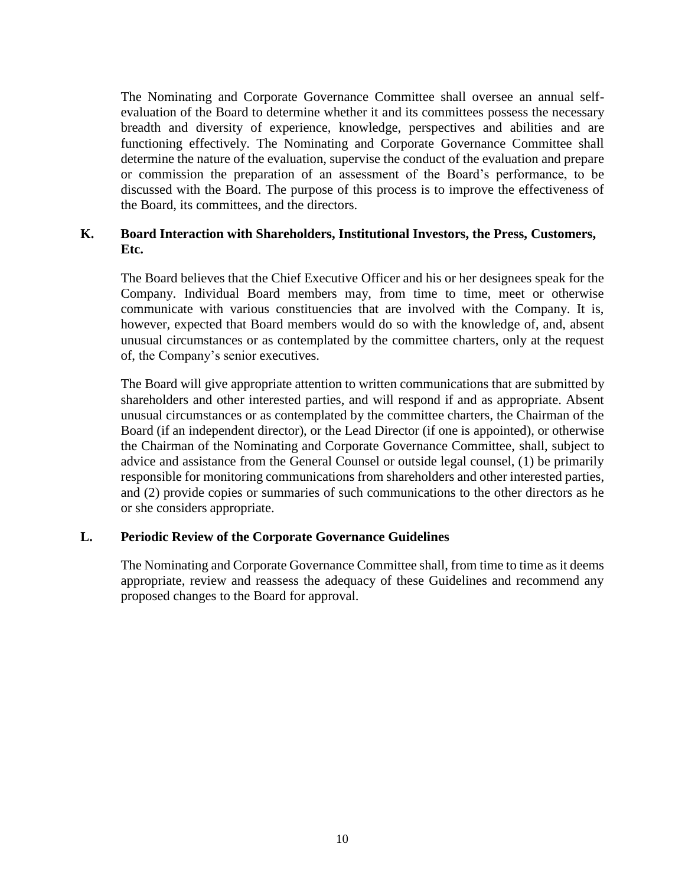The Nominating and Corporate Governance Committee shall oversee an annual selfevaluation of the Board to determine whether it and its committees possess the necessary breadth and diversity of experience, knowledge, perspectives and abilities and are functioning effectively. The Nominating and Corporate Governance Committee shall determine the nature of the evaluation, supervise the conduct of the evaluation and prepare or commission the preparation of an assessment of the Board's performance, to be discussed with the Board. The purpose of this process is to improve the effectiveness of the Board, its committees, and the directors.

# **K. Board Interaction with Shareholders, Institutional Investors, the Press, Customers, Etc.**

The Board believes that the Chief Executive Officer and his or her designees speak for the Company. Individual Board members may, from time to time, meet or otherwise communicate with various constituencies that are involved with the Company. It is, however, expected that Board members would do so with the knowledge of, and, absent unusual circumstances or as contemplated by the committee charters, only at the request of, the Company's senior executives.

The Board will give appropriate attention to written communications that are submitted by shareholders and other interested parties, and will respond if and as appropriate. Absent unusual circumstances or as contemplated by the committee charters, the Chairman of the Board (if an independent director), or the Lead Director (if one is appointed), or otherwise the Chairman of the Nominating and Corporate Governance Committee, shall, subject to advice and assistance from the General Counsel or outside legal counsel, (1) be primarily responsible for monitoring communications from shareholders and other interested parties, and (2) provide copies or summaries of such communications to the other directors as he or she considers appropriate.

### **L. Periodic Review of the Corporate Governance Guidelines**

The Nominating and Corporate Governance Committee shall, from time to time as it deems appropriate, review and reassess the adequacy of these Guidelines and recommend any proposed changes to the Board for approval.